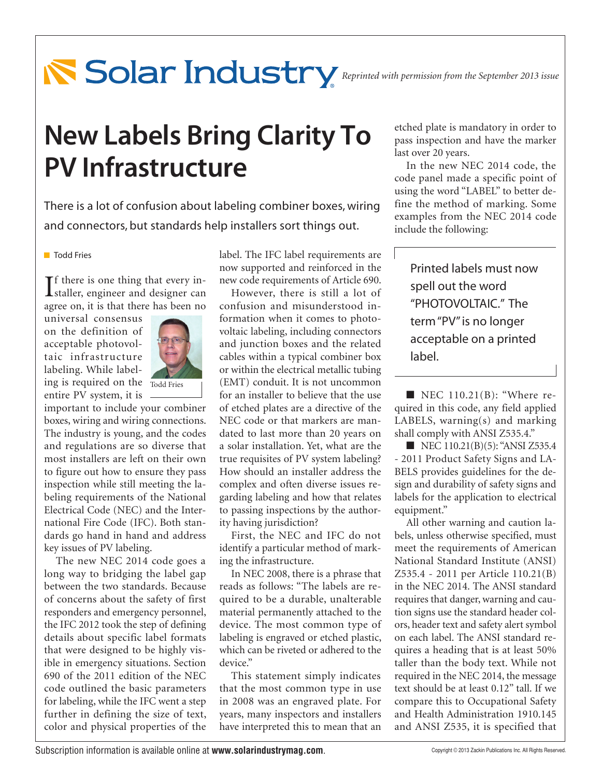# **Reprinted with permission from the September 2013 issue**

## **New Labels Bring Clarity To PV Infrastructure**

There is a lot of confusion about labeling combiner boxes, wiring and connectors, but standards help installers sort things out.

#### **Todd Fries**

If there is one thing that every in-<br>Istaller, engineer and designer can  $\mathbf{T}$ f there is one thing that every inagree on, it is that there has been no

universal consensus on the definition of acceptable photovoltaic infrastructure labeling. While labeling is required on the Todd Fries



entire PV system, it is important to include your combiner boxes, wiring and wiring connections. The industry is young, and the codes and regulations are so diverse that most installers are left on their own to figure out how to ensure they pass inspection while still meeting the labeling requirements of the National Electrical Code (NEC) and the International Fire Code (IFC). Both standards go hand in hand and address key issues of PV labeling.

The new NEC 2014 code goes a long way to bridging the label gap between the two standards. Because of concerns about the safety of first responders and emergency personnel, the IFC 2012 took the step of defining details about specific label formats that were designed to be highly visible in emergency situations. Section 690 of the 2011 edition of the NEC code outlined the basic parameters for labeling, while the IFC went a step further in defining the size of text, color and physical properties of the

label. The IFC label requirements are now supported and reinforced in the new code requirements of Article 690.

However, there is still a lot of confusion and misunderstood information when it comes to photovoltaic labeling, including connectors and junction boxes and the related cables within a typical combiner box or within the electrical metallic tubing (EMT) conduit. It is not uncommon for an installer to believe that the use of etched plates are a directive of the NEC code or that markers are mandated to last more than 20 years on a solar installation. Yet, what are the true requisites of PV system labeling? How should an installer address the complex and often diverse issues regarding labeling and how that relates to passing inspections by the authority having jurisdiction?

First, the NEC and IFC do not identify a particular method of marking the infrastructure.

In NEC 2008, there is a phrase that reads as follows: "The labels are required to be a durable, unalterable material permanently attached to the device. The most common type of labeling is engraved or etched plastic, which can be riveted or adhered to the device."

This statement simply indicates that the most common type in use in 2008 was an engraved plate. For years, many inspectors and installers have interpreted this to mean that an

etched plate is mandatory in order to pass inspection and have the marker last over 20 years.

In the new NEC 2014 code, the code panel made a specific point of using the word "LABEL" to better define the method of marking. Some examples from the NEC 2014 code include the following:

Printed labels must now spell out the word "PHOTOVOLTAIC." The term "PV" is no longer acceptable on a printed label.

 $\blacksquare$  NEC 110.21(B): "Where required in this code, any field applied LABELS, warning(s) and marking shall comply with ANSI Z535.4."

■ NEC 110.21(B)(5): "ANSI Z535.4 - 2011 Product Safety Signs and LA-BELS provides guidelines for the design and durability of safety signs and labels for the application to electrical equipment."

All other warning and caution labels, unless otherwise specified, must meet the requirements of American National Standard Institute (ANSI) Z535.4 - 2011 per Article 110.21(B) in the NEC 2014. The ANSI standard requires that danger, warning and caution signs use the standard header colors, header text and safety alert symbol on each label. The ANSI standard requires a heading that is at least 50% taller than the body text. While not required in the NEC 2014, the message text should be at least 0.12" tall. If we compare this to Occupational Safety and Health Administration 1910.145 and ANSI Z535, it is specified that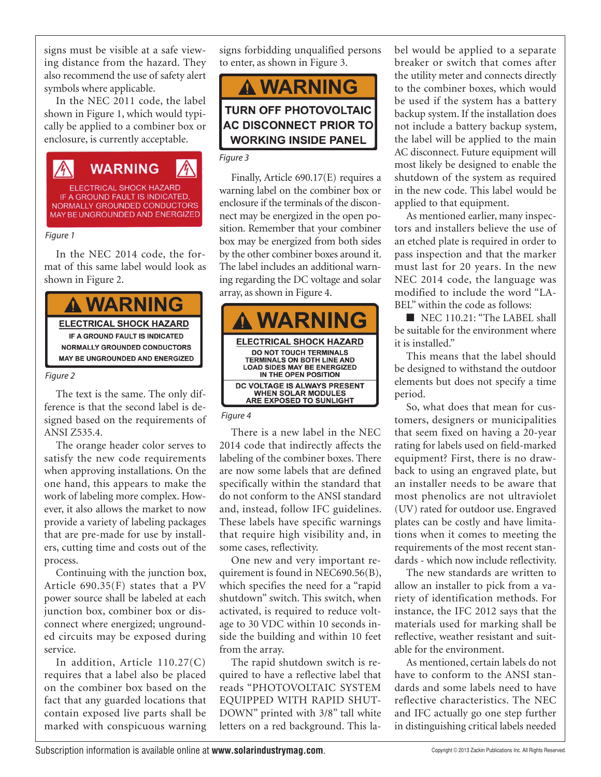signs must be visible at a safe viewing distance from the hazard. They also recommend the use of safety alert symbols where applicable.

In the NEC 2011 code, the label shown in Figure 1, which would typically be applied to a combiner box or enclosure, is currently acceptable.

伱 **WARNING** ELECTRICAL SHOCK HAZARD<br>IF A GROUND FAULT IS INDICATED, NORMALLY GROUNDED CONDUCTORS MAY BE UNGROUNDED AND ENERGIZED

#### *Figure 1*

In the NEC 2014 code, the format of this same label would look as shown in Figure 2.



#### *Figure 2*

The text is the same. The only difference is that the second label is designed based on the requirements of ANSI Z535.4.

The orange header color serves to satisfy the new code requirements when approving installations. On the one hand, this appears to make the work of labeling more complex. However, it also allows the market to now provide a variety of labeling packages that are pre-made for use by installers, cutting time and costs out of the process.

Continuing with the junction box, Article 690.35(F) states that a PV power source shall be labeled at each junction box, combiner box or disconnect where energized; ungrounded circuits may be exposed during service.

In addition, Article 110.27(C) requires that a label also be placed on the combiner box based on the fact that any guarded locations that contain exposed live parts shall be marked with conspicuous warning

signs forbidding unqualified persons to enter, as shown in Figure 3.

**A WARNING** 

### **TURN OFF PHOTOVOLTAIC AC DISCONNECT PRIOR TO WORKING INSIDE PANEL**

#### *Figure 3*

Finally, Article 690.17(E) requires a warning label on the combiner box or enclosure if the terminals of the disconnect may be energized in the open position. Remember that your combiner box may be energized from both sides by the other combiner boxes around it. The label includes an additional warning regarding the DC voltage and solar array, as shown in Figure 4.



#### *Figure 4*

There is a new label in the NEC 2014 code that indirectly affects the labeling of the combiner boxes. There are now some labels that are defined specifically within the standard that do not conform to the ANSI standard and, instead, follow IFC guidelines. These labels have specific warnings that require high visibility and, in some cases, reflectivity.

One new and very important requirement is found in NEC690.56(B), which specifies the need for a "rapid shutdown" switch. This switch, when activated, is required to reduce voltage to 30 VDC within 10 seconds inside the building and within 10 feet from the array.

The rapid shutdown switch is required to have a reflective label that reads "PHOTOVOLTAIC SYSTEM EQUIPPED WITH RAPID SHUT-DOWN" printed with 3/8" tall white letters on a red background. This label would be applied to a separate breaker or switch that comes after the utility meter and connects directly to the combiner boxes, which would be used if the system has a battery backup system. If the installation does not include a battery backup system, the label will be applied to the main AC disconnect. Future equipment will most likely be designed to enable the shutdown of the system as required in the new code. This label would be applied to that equipment.

As mentioned earlier, many inspectors and installers believe the use of an etched plate is required in order to pass inspection and that the marker must last for 20 years. In the new NEC 2014 code, the language was modified to include the word "LA-BEL" within the code as follows:

■ NEC 110.21: "The LABEL shall be suitable for the environment where it is installed."

This means that the label should be designed to withstand the outdoor elements but does not specify a time period.

So, what does that mean for customers, designers or municipalities that seem fixed on having a 20-year rating for labels used on field-marked equipment? First, there is no drawback to using an engraved plate, but an installer needs to be aware that most phenolics are not ultraviolet (UV) rated for outdoor use. Engraved plates can be costly and have limitations when it comes to meeting the requirements of the most recent standards - which now include reflectivity.

The new standards are written to allow an installer to pick from a variety of identification methods. For instance, the IFC 2012 says that the materials used for marking shall be reflective, weather resistant and suitable for the environment.

As mentioned, certain labels do not have to conform to the ANSI standards and some labels need to have reflective characteristics. The NEC and IFC actually go one step further in distinguishing critical labels needed